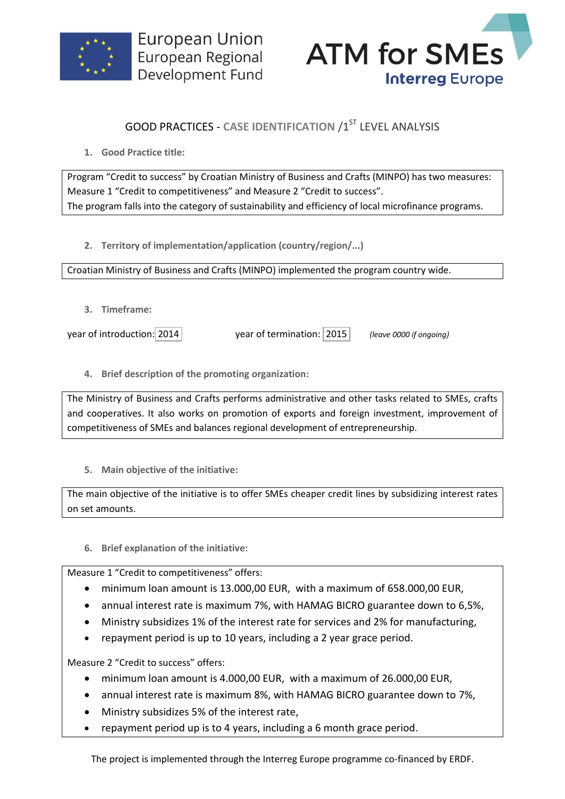



## **GOOD PRACTICES - CASE IDENTIFICATION /1ST LEVEL ANALYSIS**

**1. Good Practice title:**

Program "Credit to success" by Croatian Ministry of Business and Crafts (MINPO) has two measures: Measure 1 "Credit to competitiveness" and Measure 2 "Credit to success". The program falls into the category of sustainability and efficiency of local microfinance programs.

**2. Territory of implementation/application (country/region/...)**

Croatian Ministry of Business and Crafts (MINPO) implemented the program country wide.

**3. Timeframe:**

year of introduction: 2014 year of termination: 2015 *(leave 0000 if ongoing)*

**4. Brief description of the promoting organization:**

The Ministry of Business and Crafts performs administrative and other tasks related to SMEs, crafts and cooperatives. It also works on promotion of exports and foreign investment, improvement of competitiveness of SMEs and balances regional development of entrepreneurship.

**5. Main objective of the initiative:**

The main objective of the initiative is to offer SMEs cheaper credit lines by subsidizing interest rates on set amounts.

**6. Brief explanation of the initiative:**

Measure 1 "Credit to competitiveness" offers:

- minimum loan amount is 13.000,00 EUR, with a maximum of 658.000,00 EUR,
- annual interest rate is maximum 7%, with HAMAG BICRO guarantee down to 6,5%,
- Ministry subsidizes 1% of the interest rate for services and 2% for manufacturing,
- repayment period is up to 10 years, including a 2 year grace period.

Measure 2 "Credit to success" offers:

- minimum loan amount is 4.000,00 EUR, with a maximum of 26.000,00 EUR,
- annual interest rate is maximum 8%, with HAMAG BICRO guarantee down to 7%,
- Ministry subsidizes 5% of the interest rate,
- repayment period up is to 4 years, including a 6 month grace period.